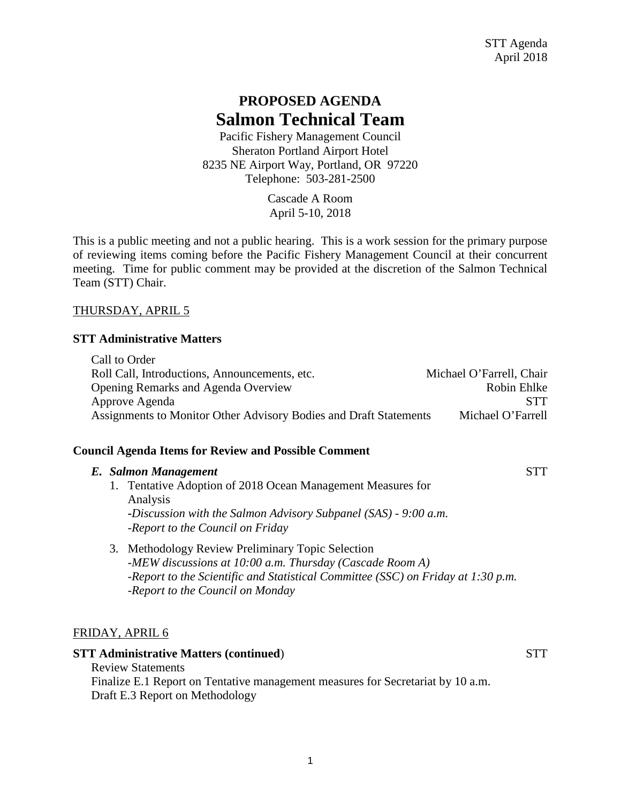# **PROPOSED AGENDA Salmon Technical Team**

Pacific Fishery Management Council Sheraton Portland Airport Hotel 8235 NE Airport Way, Portland, OR 97220 Telephone: 503-281-2500

> Cascade A Room April 5-10, 2018

This is a public meeting and not a public hearing. This is a work session for the primary purpose of reviewing items coming before the Pacific Fishery Management Council at their concurrent meeting. Time for public comment may be provided at the discretion of the Salmon Technical Team (STT) Chair.

### THURSDAY, APRIL 5

#### **STT Administrative Matters**

| Call to Order                                                     |                          |
|-------------------------------------------------------------------|--------------------------|
| Roll Call, Introductions, Announcements, etc.                     | Michael O'Farrell, Chair |
| <b>Opening Remarks and Agenda Overview</b>                        | Robin Ehlke              |
| Approve Agenda                                                    | <b>STT</b>               |
| Assignments to Monitor Other Advisory Bodies and Draft Statements | Michael O'Farrell        |

### **Council Agenda Items for Review and Possible Comment**

|  | E. Salmon Management                                                                                                                                                                                |  |
|--|-----------------------------------------------------------------------------------------------------------------------------------------------------------------------------------------------------|--|
|  | 1. Tentative Adoption of 2018 Ocean Management Measures for<br>Analysis<br>-Discussion with the Salmon Advisory Subpanel $(SAS)$ - 9:00 a.m.<br>-Report to the Council on Friday                    |  |
|  | 3. Methodology Review Preliminary Topic Selection<br>-MEW discussions at $10:00$ a.m. Thursday (Cascade Room A)<br>-Report to the Scientific and Statistical Committee (SSC) on Friday at 1:30 p.m. |  |

*-Report to the Council on Monday* 

### FRIDAY, APRIL 6

#### **STT Administrative Matters (continued)** STT

Review Statements Finalize E.1 Report on Tentative management measures for Secretariat by 10 a.m. Draft E.3 Report on Methodology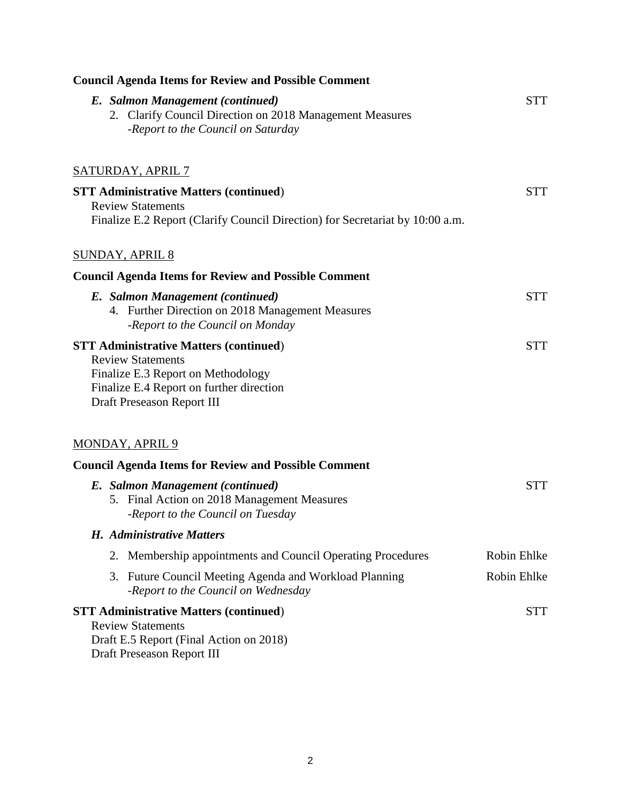| <b>Council Agenda Items for Review and Possible Comment</b>                                                                                                                               |             |
|-------------------------------------------------------------------------------------------------------------------------------------------------------------------------------------------|-------------|
| E. Salmon Management (continued)<br>2. Clarify Council Direction on 2018 Management Measures<br>-Report to the Council on Saturday                                                        | <b>STT</b>  |
| <b>SATURDAY, APRIL 7</b>                                                                                                                                                                  |             |
| <b>STT Administrative Matters (continued)</b><br><b>Review Statements</b><br>Finalize E.2 Report (Clarify Council Direction) for Secretariat by 10:00 a.m.                                | <b>STT</b>  |
| <b>SUNDAY, APRIL 8</b>                                                                                                                                                                    |             |
| <b>Council Agenda Items for Review and Possible Comment</b>                                                                                                                               |             |
| E. Salmon Management (continued)<br>4. Further Direction on 2018 Management Measures<br>-Report to the Council on Monday                                                                  | <b>STT</b>  |
| <b>STT Administrative Matters (continued)</b><br><b>Review Statements</b><br>Finalize E.3 Report on Methodology<br>Finalize E.4 Report on further direction<br>Draft Preseason Report III | <b>STT</b>  |
| <b>MONDAY, APRIL 9</b>                                                                                                                                                                    |             |
| <b>Council Agenda Items for Review and Possible Comment</b>                                                                                                                               |             |
| E. Salmon Management (continued)<br>5. Final Action on 2018 Management Measures<br>-Report to the Council on Tuesday                                                                      | <b>STT</b>  |
| H. Administrative Matters                                                                                                                                                                 |             |
| 2. Membership appointments and Council Operating Procedures                                                                                                                               | Robin Ehlke |
| 3. Future Council Meeting Agenda and Workload Planning<br>-Report to the Council on Wednesday                                                                                             | Robin Ehlke |
| <b>STT Administrative Matters (continued)</b><br><b>Review Statements</b><br>Draft E.5 Report (Final Action on 2018)<br>Draft Preseason Report III                                        | <b>STT</b>  |